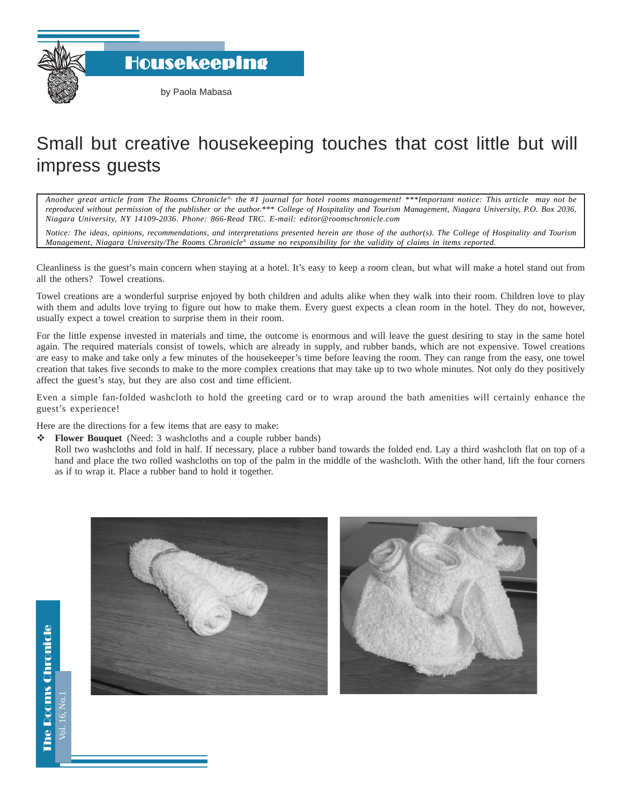Housekeeping

## Small but creative housekeeping touches that cost little but will impress guests

*Another great article from The Rooms Chronicle*®*, the #1 journal for hotel rooms management! \*\*\*Important notice: This article may not be reproduced without permission of the publisher or the author.\*\*\* College of Hospitality and Tourism Management, Niagara University, P.O. Box 2036, Niagara University, NY 14109-2036. Phone: 866-Read TRC. E-mail: editor@roomschronicle.com*

*Notice: The ideas, opinions, recommendations, and interpretations presented herein are those of the author(s). The College of Hospitality and Tourism Management, Niagara University/The Rooms Chronicle*® *assume no responsibility for the validity of claims in items reported.*

Cleanliness is the guest's main concern when staying at a hotel. It's easy to keep a room clean, but what will make a hotel stand out from all the others? Towel creations.

Towel creations are a wonderful surprise enjoyed by both children and adults alike when they walk into their room. Children love to play with them and adults love trying to figure out how to make them. Every guest expects a clean room in the hotel. They do not, however, usually expect a towel creation to surprise them in their room.

For the little expense invested in materials and time, the outcome is enormous and will leave the guest desiring to stay in the same hotel again. The required materials consist of towels, which are already in supply, and rubber bands, which are not expensive. Towel creations are easy to make and take only a few minutes of the housekeeper's time before leaving the room. They can range from the easy, one towel creation that takes five seconds to make to the more complex creations that may take up to two whole minutes. Not only do they positively affect the guest's stay, but they are also cost and time efficient.

Even a simple fan-folded washcloth to hold the greeting card or to wrap around the bath amenities will certainly enhance the guest's experience!

Here are the directions for a few items that are easy to make:

**Flower Bouquet** (Need: 3 washcloths and a couple rubber bands)

Roll two washcloths and fold in half. If necessary, place a rubber band towards the folded end. Lay a third washcloth flat on top of a hand and place the two rolled washcloths on top of the palm in the middle of the washcloth. With the other hand, lift the four corners as if to wrap it. Place a rubber band to hold it together.